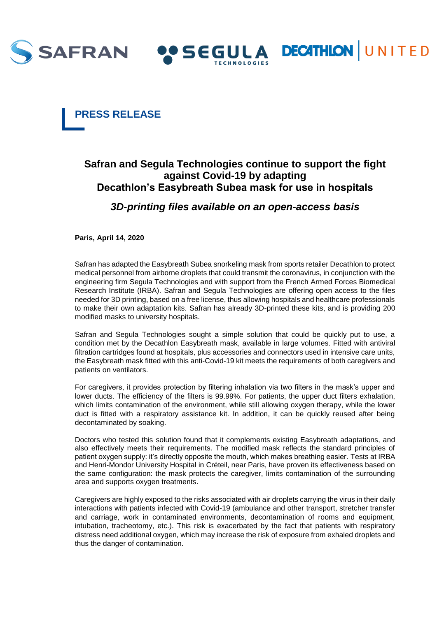



# **Safran and Segula Technologies continue to support the fight against Covid-19 by adapting Decathlon's Easybreath Subea mask for use in hospitals**

O SEGULA DECATHION UNITED

## *3D-printing files available on an open-access basis*

**Paris, April 14, 2020**

Safran has adapted the Easybreath Subea snorkeling mask from sports retailer Decathlon to protect medical personnel from airborne droplets that could transmit the coronavirus, in conjunction with the engineering firm Segula Technologies and with support from the French Armed Forces Biomedical Research Institute (IRBA). Safran and Segula Technologies are offering open access to the files needed for 3D printing, based on a free license, thus allowing hospitals and healthcare professionals to make their own adaptation kits. Safran has already 3D-printed these kits, and is providing 200 modified masks to university hospitals.

Safran and Segula Technologies sought a simple solution that could be quickly put to use, a condition met by the Decathlon Easybreath mask, available in large volumes. Fitted with antiviral filtration cartridges found at hospitals, plus accessories and connectors used in intensive care units, the Easybreath mask fitted with this anti-Covid-19 kit meets the requirements of both caregivers and patients on ventilators.

For caregivers, it provides protection by filtering inhalation via two filters in the mask's upper and lower ducts. The efficiency of the filters is 99.99%. For patients, the upper duct filters exhalation, which limits contamination of the environment, while still allowing oxygen therapy, while the lower duct is fitted with a respiratory assistance kit. In addition, it can be quickly reused after being decontaminated by soaking.

Doctors who tested this solution found that it complements existing Easybreath adaptations, and also effectively meets their requirements. The modified mask reflects the standard principles of patient oxygen supply: it's directly opposite the mouth, which makes breathing easier. Tests at IRBA and Henri-Mondor University Hospital in Créteil, near Paris, have proven its effectiveness based on the same configuration: the mask protects the caregiver, limits contamination of the surrounding area and supports oxygen treatments.

Caregivers are highly exposed to the risks associated with air droplets carrying the virus in their daily interactions with patients infected with Covid-19 (ambulance and other transport, stretcher transfer and carriage, work in contaminated environments, decontamination of rooms and equipment, intubation, tracheotomy, etc.). This risk is exacerbated by the fact that patients with respiratory distress need additional oxygen, which may increase the risk of exposure from exhaled droplets and thus the danger of contamination.